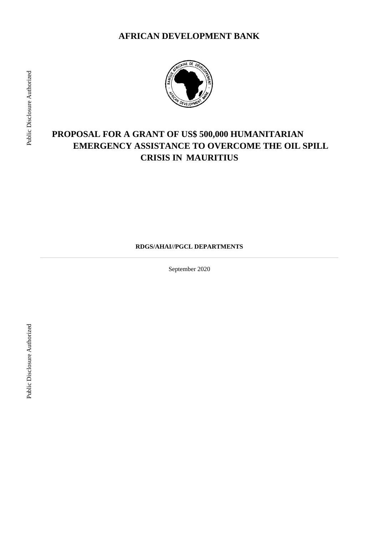

# **PROPOSAL FOR A GRANT OF US\$ 500,000 HUMANITARIAN EMERGENCY ASSISTANCE TO OVERCOME THE OIL SPILL CRISIS IN MAURITIUS**

**RDGS/AHAI//PGCL DEPARTMENTS** 

September 2020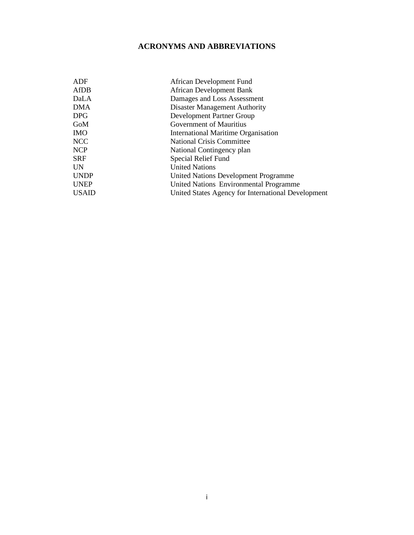## **ACRONYMS AND ABBREVIATIONS**

| ADF          | African Development Fund                           |
|--------------|----------------------------------------------------|
| AfDB         | <b>African Development Bank</b>                    |
| DaLA         | Damages and Loss Assessment                        |
| <b>DMA</b>   | <b>Disaster Management Authority</b>               |
| <b>DPG</b>   | Development Partner Group                          |
| GoM          | <b>Government of Mauritius</b>                     |
| <b>IMO</b>   | International Maritime Organisation                |
| NCC          | <b>National Crisis Committee</b>                   |
| <b>NCP</b>   | National Contingency plan                          |
| <b>SRF</b>   | Special Relief Fund                                |
| <b>UN</b>    | <b>United Nations</b>                              |
| <b>UNDP</b>  | <b>United Nations Development Programme</b>        |
| <b>UNEP</b>  | United Nations Environmental Programme             |
| <b>USAID</b> | United States Agency for International Development |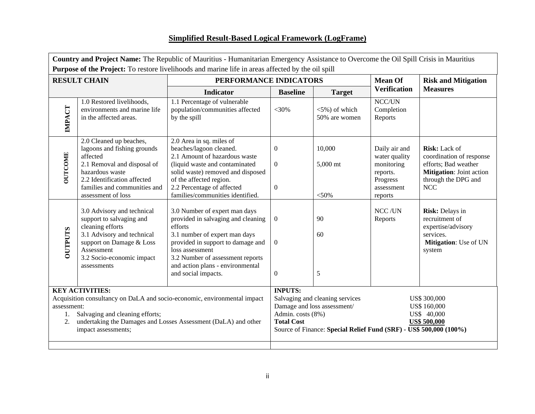## **Simplified Result-Based Logical Framework (LogFrame)**

| Country and Project Name: The Republic of Mauritius - Humanitarian Emergency Assistance to Overcome the Oil Spill Crisis in Mauritius<br><b>Purpose of the Project:</b> To restore livelihoods and marine life in areas affected by the oil spill                     |                                                                                                                                                                                                           |                                                                                                                                                                                                                                                          |                                                          |                                                                                                                                      |                                                                                               |                                                                                                                             |  |  |
|-----------------------------------------------------------------------------------------------------------------------------------------------------------------------------------------------------------------------------------------------------------------------|-----------------------------------------------------------------------------------------------------------------------------------------------------------------------------------------------------------|----------------------------------------------------------------------------------------------------------------------------------------------------------------------------------------------------------------------------------------------------------|----------------------------------------------------------|--------------------------------------------------------------------------------------------------------------------------------------|-----------------------------------------------------------------------------------------------|-----------------------------------------------------------------------------------------------------------------------------|--|--|
|                                                                                                                                                                                                                                                                       | <b>RESULT CHAIN</b>                                                                                                                                                                                       | PERFORMANCE INDICATORS                                                                                                                                                                                                                                   |                                                          |                                                                                                                                      | <b>Mean Of</b>                                                                                | <b>Risk and Mitigation</b>                                                                                                  |  |  |
|                                                                                                                                                                                                                                                                       |                                                                                                                                                                                                           | <b>Indicator</b>                                                                                                                                                                                                                                         | <b>Baseline</b><br><b>Target</b>                         |                                                                                                                                      | <b>Verification</b>                                                                           | <b>Measures</b>                                                                                                             |  |  |
| IMPACT                                                                                                                                                                                                                                                                | 1.0 Restored livelihoods,<br>environments and marine life<br>in the affected areas.                                                                                                                       | 1.1 Percentage of vulnerable<br>population/communities affected<br>by the spill                                                                                                                                                                          | $<$ 30%                                                  | $<$ 5%) of which<br>50% are women                                                                                                    | NCC/UN<br>Completion<br>Reports                                                               |                                                                                                                             |  |  |
| <b>OUTCOME</b>                                                                                                                                                                                                                                                        | 2.0 Cleaned up beaches,<br>lagoons and fishing grounds<br>affected<br>2.1 Removal and disposal of<br>hazardous waste<br>2.2 Identification affected<br>families and communities and<br>assessment of loss | 2.0 Area in sq. miles of<br>beaches/lagoon cleaned.<br>2.1 Amount of hazardous waste<br>(liquid waste and contaminated<br>solid waste) removed and disposed<br>of the affected region.<br>2.2 Percentage of affected<br>families/communities identified. | $\boldsymbol{0}$<br>$\overline{0}$<br>$\mathbf{0}$       | 10,000<br>5,000 mt<br>$<$ 50%                                                                                                        | Daily air and<br>water quality<br>monitoring<br>reports.<br>Progress<br>assessment<br>reports | Risk: Lack of<br>coordination of response<br>efforts; Bad weather<br>Mitigation: Joint action<br>through the DPG and<br>NCC |  |  |
| 3.0 Advisory and technical<br>support to salvaging and<br>cleaning efforts<br>efforts<br><b>OUTPUTS</b><br>3.1 Advisory and technical<br>support on Damage & Loss<br>Assessment<br>loss assessment<br>3.2 Socio-economic impact<br>assessments<br>and social impacts. |                                                                                                                                                                                                           | 3.0 Number of expert man days<br>provided in salvaging and cleaning<br>3.1 number of expert man days<br>provided in support to damage and<br>3.2 Number of assessment reports<br>and action plans - environmental                                        | $\overline{0}$<br>$\boldsymbol{0}$<br>$\boldsymbol{0}$   | 90<br>60<br>5                                                                                                                        | NCC/UN<br>Reports                                                                             | Risk: Delays in<br>recruitment of<br>expertise/advisory<br>services.<br>Mitigation: Use of UN<br>system                     |  |  |
| <b>KEY ACTIVITIES:</b><br>Acquisition consultancy on DaLA and socio-economic, environmental impact<br>assessment:<br>Salvaging and cleaning efforts;<br>undertaking the Damages and Losses Assessment (DaLA) and other<br>2.<br>impact assessments;                   |                                                                                                                                                                                                           |                                                                                                                                                                                                                                                          | <b>INPUTS:</b><br>Admin. costs (8%)<br><b>Total Cost</b> | Salvaging and cleaning services<br>Damage and loss assessment/<br>Source of Finance: Special Relief Fund (SRF) - US\$ 500,000 (100%) |                                                                                               | US\$ 300,000<br>US\$ 160,000<br>US\$ 40,000<br>US\$ 500,000                                                                 |  |  |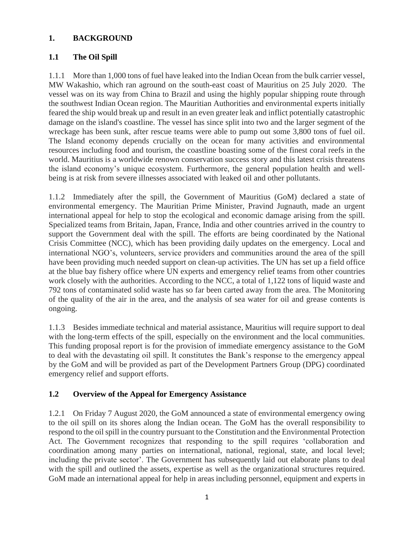#### **1. BACKGROUND**

#### **1.1 The Oil Spill**

1.1.1 More than 1,000 tons of fuel have leaked into the Indian Ocean from the bulk carrier vessel, MW Wakashio, which ran aground on the south-east coast of Mauritius on 25 July 2020. The vessel was on its way from China to Brazil and using the highly popular shipping route through the southwest Indian Ocean region. The Mauritian Authorities and environmental experts initially feared the ship would break up and result in an even greater leak and inflict potentially catastrophic damage on the island's coastline. The vessel has since split into two and the larger segment of the wreckage has been sunk, after rescue teams were able to pump out some 3,800 tons of fuel oil. The Island economy depends crucially on the ocean for many activities and environmental resources including food and tourism, the coastline boasting some of the finest coral reefs in the world. Mauritius is a worldwide renown conservation success story and this latest crisis threatens the island economy's unique ecosystem. Furthermore, the general population health and wellbeing is at risk from severe illnesses associated with leaked oil and other pollutants.

1.1.2 Immediately after the spill, the Government of Mauritius (GoM) declared a state of environmental emergency. The Mauritian Prime Minister, Pravind Jugnauth, made an urgent international appeal for help to stop the ecological and economic damage arising from the spill. Specialized teams from Britain, Japan, France, India and other countries arrived in the country to support the Government deal with the spill. The efforts are being coordinated by the National Crisis Committee (NCC), which has been providing daily updates on the emergency. Local and international NGO's, volunteers, service providers and communities around the area of the spill have been providing much needed support on clean-up activities. The UN has set up a field office at the blue bay fishery office where UN experts and emergency relief teams from other countries work closely with the authorities. According to the NCC, a total of 1,122 tons of liquid waste and 792 tons of contaminated solid waste has so far been carted away from the area. The Monitoring of the quality of the air in the area, and the analysis of sea water for oil and grease contents is ongoing.

1.1.3 Besides immediate technical and material assistance, Mauritius will require support to deal with the long-term effects of the spill, especially on the environment and the local communities. This funding proposal report is for the provision of immediate emergency assistance to the GoM to deal with the devastating oil spill. It constitutes the Bank's response to the emergency appeal by the GoM and will be provided as part of the Development Partners Group (DPG) coordinated emergency relief and support efforts.

#### **1.2 Overview of the Appeal for Emergency Assistance**

1.2.1 On Friday 7 August 2020, the GoM announced a state of environmental emergency owing to the oil spill on its shores along the Indian ocean. The GoM has the overall responsibility to respond to the oil spill in the country pursuant to the Constitution and the Environmental Protection Act. The Government recognizes that responding to the spill requires 'collaboration and coordination among many parties on international, national, regional, state, and local level; including the private sector'. The Government has subsequently laid out elaborate plans to deal with the spill and outlined the assets, expertise as well as the organizational structures required. GoM made an international appeal for help in areas including personnel, equipment and experts in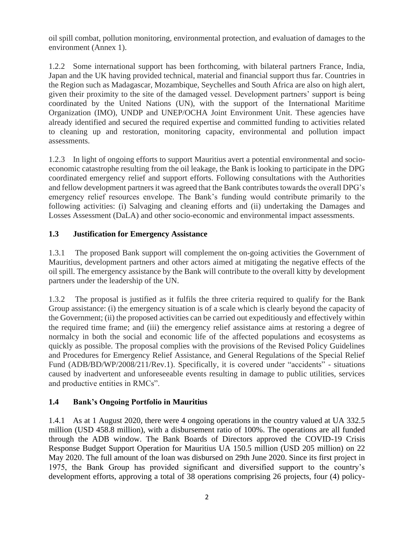oil spill combat, pollution monitoring, environmental protection, and evaluation of damages to the environment (Annex 1).

1.2.2 Some international support has been forthcoming, with bilateral partners France, India, Japan and the UK having provided technical, material and financial support thus far. Countries in the Region such as Madagascar, Mozambique, Seychelles and South Africa are also on high alert, given their proximity to the site of the damaged vessel. Development partners' support is being coordinated by the United Nations (UN), with the support of the International Maritime Organization (IMO), UNDP and UNEP/OCHA Joint Environment Unit. These agencies have already identified and secured the required expertise and committed funding to activities related to cleaning up and restoration, monitoring capacity, environmental and pollution impact assessments.

1.2.3 In light of ongoing efforts to support Mauritius avert a potential environmental and socioeconomic catastrophe resulting from the oil leakage, the Bank is looking to participate in the DPG coordinated emergency relief and support efforts. Following consultations with the Authorities and fellow development partners it was agreed that the Bank contributes towards the overall DPG's emergency relief resources envelope. The Bank's funding would contribute primarily to the following activities: (i) Salvaging and cleaning efforts and (ii) undertaking the Damages and Losses Assessment (DaLA) and other socio-economic and environmental impact assessments.

### **1.3 Justification for Emergency Assistance**

1.3.1 The proposed Bank support will complement the on-going activities the Government of Mauritius, development partners and other actors aimed at mitigating the negative effects of the oil spill. The emergency assistance by the Bank will contribute to the overall kitty by development partners under the leadership of the UN.

1.3.2 The proposal is justified as it fulfils the three criteria required to qualify for the Bank Group assistance: (i) the emergency situation is of a scale which is clearly beyond the capacity of the Government; (ii) the proposed activities can be carried out expeditiously and effectively within the required time frame; and (iii) the emergency relief assistance aims at restoring a degree of normalcy in both the social and economic life of the affected populations and ecosystems as quickly as possible. The proposal complies with the provisions of the Revised Policy Guidelines and Procedures for Emergency Relief Assistance, and General Regulations of the Special Relief Fund (ADB/BD/WP/2008/211/Rev.1). Specifically, it is covered under "accidents" - situations caused by inadvertent and unforeseeable events resulting in damage to public utilities, services and productive entities in RMCs".

#### **1.4 Bank's Ongoing Portfolio in Mauritius**

1.4.1 As at 1 August 2020, there were 4 ongoing operations in the country valued at UA 332.5 million (USD 458.8 million), with a disbursement ratio of 100%. The operations are all funded through the ADB window. The Bank Boards of Directors approved the COVID-19 Crisis Response Budget Support Operation for Mauritius UA 150.5 million (USD 205 million) on 22 May 2020. The full amount of the loan was disbursed on 29th June 2020. Since its first project in 1975, the Bank Group has provided significant and diversified support to the country's development efforts, approving a total of 38 operations comprising 26 projects, four (4) policy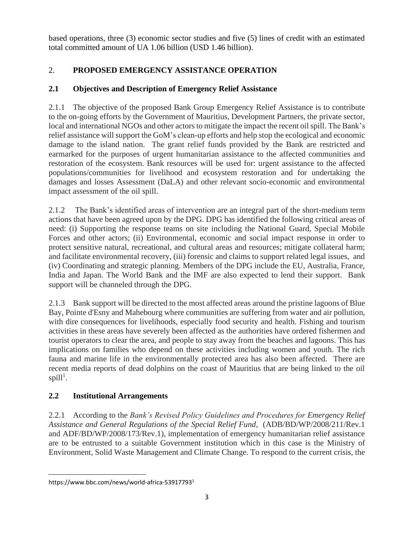based operations, three (3) economic sector studies and five (5) lines of credit with an estimated total committed amount of UA 1.06 billion (USD 1.46 billion).

## 2. **PROPOSED EMERGENCY ASSISTANCE OPERATION**

## **2.1 Objectives and Description of Emergency Relief Assistance**

2.1.1 The objective of the proposed Bank Group Emergency Relief Assistance is to contribute to the on-going efforts by the Government of Mauritius, Development Partners, the private sector, local and international NGOs and other actors to mitigate the impact the recent oil spill. The Bank's relief assistance will support the GoM's clean-up efforts and help stop the ecological and economic damage to the island nation. The grant relief funds provided by the Bank are restricted and earmarked for the purposes of urgent humanitarian assistance to the affected communities and restoration of the ecosystem. Bank resources will be used for: urgent assistance to the affected populations/communities for livelihood and ecosystem restoration and for undertaking the damages and losses Assessment (DaLA) and other relevant socio-economic and environmental impact assessment of the oil spill.

2.1.2 The Bank's identified areas of intervention are an integral part of the short-medium term actions that have been agreed upon by the DPG. DPG has identified the following critical areas of need: (i) Supporting the response teams on site including the National Guard, Special Mobile Forces and other actors; (ii) Environmental, economic and social impact response in order to protect sensitive natural, recreational, and cultural areas and resources; mitigate collateral harm; and facilitate environmental recovery, (iii) forensic and claims to support related legal issues, and (iv) Coordinating and strategic planning. Members of the DPG include the EU, Australia, France, India and Japan. The World Bank and the IMF are also expected to lend their support. Bank support will be channeled through the DPG.

2.1.3 Bank support will be directed to the most affected areas around the pristine lagoons of Blue Bay, Pointe d'Esny and Mahebourg where communities are suffering from water and air pollution, with dire consequences for livelihoods, especially food security and health. Fishing and tourism activities in these areas have severely been affected as the authorities have ordered fishermen and tourist operators to clear the area, and people to stay away from the beaches and lagoons. This has implications on families who depend on these activities including women and youth. The rich fauna and marine life in the environmentally protected area has also been affected. There are recent media reports of dead dolphins on the coast of Mauritius that are being linked to the oil  $\text{spill}^1$ .

## **2.2 Institutional Arrangements**

2.2.1 According to the *Bank's Revised Policy Guidelines and Procedures for Emergency Relief Assistance and General Regulations of the Special Relief Fund,* (ADB/BD/WP/2008/211/Rev.1 and ADF/BD/WP/2008/173/Rev.1), implementation of emergency humanitarian relief assistance are to be entrusted to a suitable Government institution which in this case is the Ministry of Environment, Solid Waste Management and Climate Change. To respond to the current crisis, the

https://www.bbc.com/news/world-africa-539177931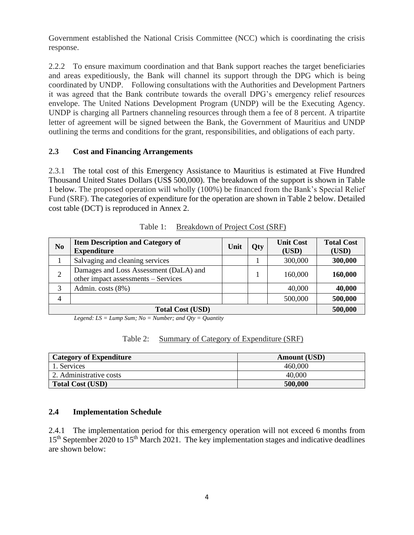Government established the National Crisis Committee (NCC) which is coordinating the crisis response.

2.2.2 To ensure maximum coordination and that Bank support reaches the target beneficiaries and areas expeditiously, the Bank will channel its support through the DPG which is being coordinated by UNDP. Following consultations with the Authorities and Development Partners it was agreed that the Bank contribute towards the overall DPG's emergency relief resources envelope. The United Nations Development Program (UNDP) will be the Executing Agency. UNDP is charging all Partners channeling resources through them a fee of 8 percent. A tripartite letter of agreement will be signed between the Bank, the Government of Mauritius and UNDP outlining the terms and conditions for the grant, responsibilities, and obligations of each party.

#### **2.3 Cost and Financing Arrangements**

2.3.1 The total cost of this Emergency Assistance to Mauritius is estimated at Five Hundred Thousand United States Dollars (US\$ 500,000). The breakdown of the support is shown in Table 1 below. The proposed operation will wholly (100%) be financed from the Bank's Special Relief Fund (SRF). The categories of expenditure for the operation are shown in Table 2 below. Detailed cost table (DCT) is reproduced in Annex 2.

| N <sub>0</sub> | <b>Item Description and Category of</b><br><b>Expenditure</b>                 | Unit | Qty | <b>Unit Cost</b><br>(USD) | <b>Total Cost</b><br>(USD) |
|----------------|-------------------------------------------------------------------------------|------|-----|---------------------------|----------------------------|
|                | Salvaging and cleaning services                                               |      |     | 300,000                   | 300,000                    |
| $\overline{2}$ | Damages and Loss Assessment (DaLA) and<br>other impact assessments – Services |      |     | 160,000                   | 160,000                    |
| 3              | Admin. costs (8%)                                                             |      |     | 40,000                    | 40,000                     |
| 4              |                                                                               |      |     | 500,000                   | 500,000                    |
|                | 500,000                                                                       |      |     |                           |                            |

|  | Table 1: | Breakdown of Project Cost (SRF) |  |  |  |
|--|----------|---------------------------------|--|--|--|
|--|----------|---------------------------------|--|--|--|

*Legend: LS = Lump Sum; No = Number; and Qty = Quantity*

|--|

| <b>Category of Expenditure</b> | <b>Amount</b> (USD) |
|--------------------------------|---------------------|
| l. Services                    | 460,000             |
| 2. Administrative costs        | 40,000              |
| <b>Total Cost (USD)</b>        | 500,000             |

#### **2.4 Implementation Schedule**

2.4.1 The implementation period for this emergency operation will not exceed 6 months from 15<sup>th</sup> September 2020 to 15<sup>th</sup> March 2021. The key implementation stages and indicative deadlines are shown below: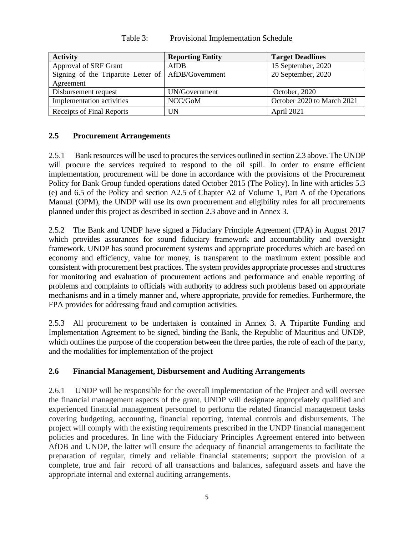| <b>Activity</b>                                     | <b>Reporting Entity</b> | <b>Target Deadlines</b>    |
|-----------------------------------------------------|-------------------------|----------------------------|
| <b>Approval of SRF Grant</b>                        | AfDB                    | 15 September, 2020         |
| Signing of the Tripartite Letter of AfDB/Government |                         | 20 September, 2020         |
| Agreement                                           |                         |                            |
| Disbursement request                                | UN/Government           | October, 2020              |
| Implementation activities                           | NCC/GoM                 | October 2020 to March 2021 |
| Receipts of Final Reports                           | ĴΝ                      | April 2021                 |

Table 3: Provisional Implementation Schedule

#### **2.5 Procurement Arrangements**

2.5.1 Bank resources will be used to procures the services outlined in section 2.3 above. The UNDP will procure the services required to respond to the oil spill. In order to ensure efficient implementation, procurement will be done in accordance with the provisions of the Procurement Policy for Bank Group funded operations dated October 2015 (The Policy). In line with articles 5.3 (e) and 6.5 of the Policy and section A2.5 of Chapter A2 of Volume 1, Part A of the Operations Manual (OPM), the UNDP will use its own procurement and eligibility rules for all procurements planned under this project as described in section 2.3 above and in Annex 3.

2.5.2 The Bank and UNDP have signed a Fiduciary Principle Agreement (FPA) in August 2017 which provides assurances for sound fiduciary framework and accountability and oversight framework. UNDP has sound procurement systems and appropriate procedures which are based on economy and efficiency, value for money, is transparent to the maximum extent possible and consistent with procurement best practices. The system provides appropriate processes and structures for monitoring and evaluation of procurement actions and performance and enable reporting of problems and complaints to officials with authority to address such problems based on appropriate mechanisms and in a timely manner and, where appropriate, provide for remedies. Furthermore, the FPA provides for addressing fraud and corruption activities.

2.5.3 All procurement to be undertaken is contained in Annex 3. A Tripartite Funding and Implementation Agreement to be signed, binding the Bank, the Republic of Mauritius and UNDP, which outlines the purpose of the cooperation between the three parties, the role of each of the party, and the modalities for implementation of the project

#### **2.6 Financial Management, Disbursement and Auditing Arrangements**

2.6.1 UNDP will be responsible for the overall implementation of the Project and will oversee the financial management aspects of the grant. UNDP will designate appropriately qualified and experienced financial management personnel to perform the related financial management tasks covering budgeting, accounting, financial reporting, internal controls and disbursements. The project will comply with the existing requirements prescribed in the UNDP financial management policies and procedures. In line with the Fiduciary Principles Agreement entered into between AfDB and UNDP, the latter will ensure the adequacy of financial arrangements to facilitate the preparation of regular, timely and reliable financial statements; support the provision of a complete, true and fair record of all transactions and balances, safeguard assets and have the appropriate internal and external auditing arrangements.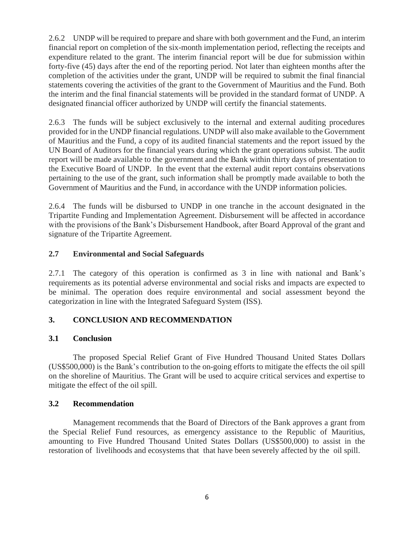2.6.2 UNDP will be required to prepare and share with both government and the Fund, an interim financial report on completion of the six-month implementation period, reflecting the receipts and expenditure related to the grant. The interim financial report will be due for submission within forty-five (45) days after the end of the reporting period. Not later than eighteen months after the completion of the activities under the grant, UNDP will be required to submit the final financial statements covering the activities of the grant to the Government of Mauritius and the Fund. Both the interim and the final financial statements will be provided in the standard format of UNDP. A designated financial officer authorized by UNDP will certify the financial statements.

2.6.3 The funds will be subject exclusively to the internal and external auditing procedures provided for in the UNDP financial regulations. UNDP will also make available to the Government of Mauritius and the Fund, a copy of its audited financial statements and the report issued by the UN Board of Auditors for the financial years during which the grant operations subsist. The audit report will be made available to the government and the Bank within thirty days of presentation to the Executive Board of UNDP. In the event that the external audit report contains observations pertaining to the use of the grant, such information shall be promptly made available to both the Government of Mauritius and the Fund, in accordance with the UNDP information policies.

2.6.4 The funds will be disbursed to UNDP in one tranche in the account designated in the Tripartite Funding and Implementation Agreement. Disbursement will be affected in accordance with the provisions of the Bank's Disbursement Handbook, after Board Approval of the grant and signature of the Tripartite Agreement.

### **2.7 Environmental and Social Safeguards**

2.7.1 The category of this operation is confirmed as 3 in line with national and Bank's requirements as its potential adverse environmental and social risks and impacts are expected to be minimal. The operation does require environmental and social assessment beyond the categorization in line with the Integrated Safeguard System (ISS).

## **3. CONCLUSION AND RECOMMENDATION**

#### **3.1 Conclusion**

The proposed Special Relief Grant of Five Hundred Thousand United States Dollars (US\$500,000) is the Bank's contribution to the on-going efforts to mitigate the effects the oil spill on the shoreline of Mauritius. The Grant will be used to acquire critical services and expertise to mitigate the effect of the oil spill.

#### **3.2 Recommendation**

Management recommends that the Board of Directors of the Bank approves a grant from the Special Relief Fund resources, as emergency assistance to the Republic of Mauritius, amounting to Five Hundred Thousand United States Dollars (US\$500,000) to assist in the restoration of livelihoods and ecosystems that that have been severely affected by the oil spill.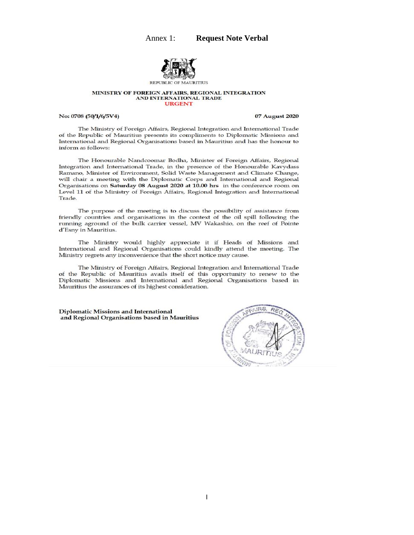

#### MINISTRY OF FOREIGN AFFAIRS, REGIONAL INTEGRATION AND INTERNATIONAL TRADE **URGENT**

#### No: 0708 (50/1/6/5V4)

07 August 2020

The Ministry of Foreign Affairs, Regional Integration and International Trade of the Republic of Mauritius presents its compliments to Diplomatic Missions and International and Regional Organisations based in Mauritius and has the honour to inform as follows:

The Honourable Nandcoomar Bodha, Minister of Foreign Affairs, Regional Integration and International Trade, in the presence of the Honourable Kavydass Ramano, Minister of Environment, Solid Waste Management and Climate Change, will chair a meeting with the Diplomatic Corps and International and Regional Organisations on Saturday 08 August 2020 at 10.00 hrs in the conference room on Level 11 of the Ministry of Foreign Affairs, Regional Integration and International Trade.

The purpose of the meeting is to discuss the possibility of assistance from friendly countries and organisations in the context of the oil spill following the running aground of the bulk carrier vessel, MV Wakashio, on the reef of Pointe d'Esny in Mauritius.

The Ministry would highly appreciate it if Heads of Missions and International and Regional Organisations could kindly attend the meeting. The Ministry regrets any inconvenience that the short notice may cause.

The Ministry of Foreign Affairs, Regional Integration and International Trade of the Republic of Mauritius avails itself of this opportunity to renew to the Diplomatic Missions and International and Regional Organisations based in Mauritius the assurances of its highest consideration.

**Diplomatic Missions and International** and Regional Organisations based in Mauritius

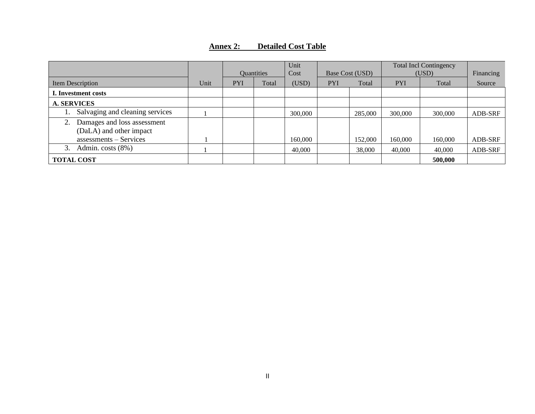### **Annex 2: Detailed Cost Table**

|                                                        |      | <b>Quantities</b> |       | Unit<br>Cost | Base Cost (USD) |         | <b>Total Incl Contingency</b><br>(USD) |         | Financing |
|--------------------------------------------------------|------|-------------------|-------|--------------|-----------------|---------|----------------------------------------|---------|-----------|
| Item Description                                       | Unit | <b>PYI</b>        | Total | (USD)        | <b>PYI</b>      | Total   | <b>PYI</b>                             | Total   | Source    |
| I. Investment costs                                    |      |                   |       |              |                 |         |                                        |         |           |
| <b>A. SERVICES</b>                                     |      |                   |       |              |                 |         |                                        |         |           |
| Salvaging and cleaning services                        |      |                   |       | 300,000      |                 | 285,000 | 300,000                                | 300,000 | ADB-SRF   |
| Damages and loss assessment<br>(DaLA) and other impact |      |                   |       |              |                 |         |                                        |         |           |
| assessments - Services                                 |      |                   |       | 160,000      |                 | 152,000 | 160,000                                | 160,000 | ADB-SRF   |
| 3.<br>Admin. costs (8%)                                |      |                   |       | 40,000       |                 | 38,000  | 40,000                                 | 40,000  | ADB-SRF   |
| <b>TOTAL COST</b>                                      |      |                   |       |              |                 |         |                                        | 500,000 |           |